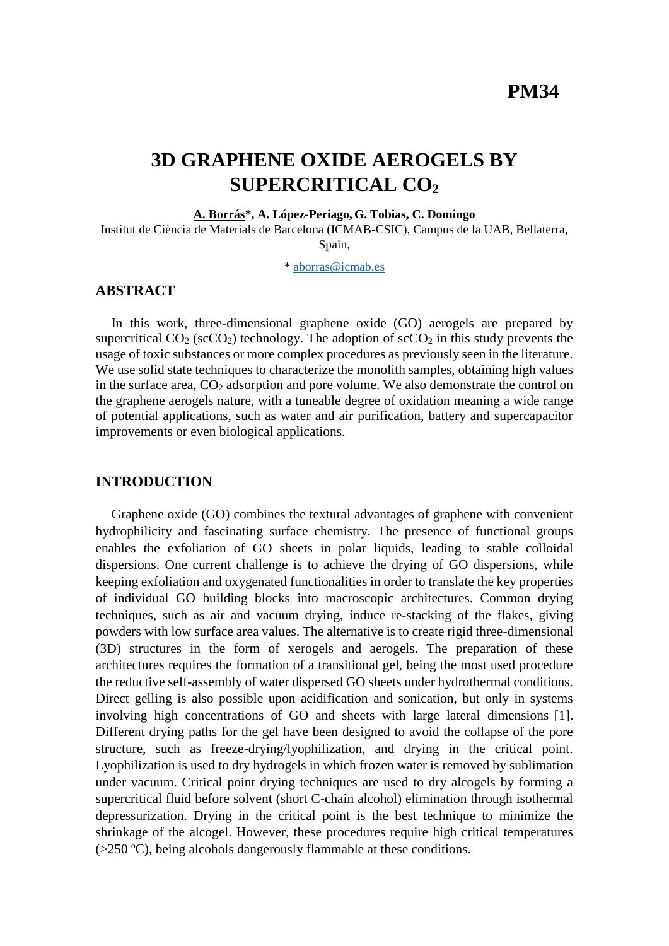# **3D GRAPHENE OXIDE AEROGELS BY SUPERCRITICAL CO<sup>2</sup>**

**A. Borrás\*, A. López-Periago, G. Tobias, C. Domingo**

Institut de Ciència de Materials de Barcelona (ICMAB-CSIC), Campus de la UAB, Bellaterra, Spain,

\* [aborras@icmab.es](mailto:aborras@icmab.es)

## **ABSTRACT**

In this work, three-dimensional graphene oxide (GO) aerogels are prepared by supercritical  $CO_2$  (sc $CO_2$ ) technology. The adoption of sc $CO_2$  in this study prevents the usage of toxic substances or more complex procedures as previously seen in the literature. We use solid state techniques to characterize the monolith samples, obtaining high values in the surface area,  $CO<sub>2</sub>$  adsorption and pore volume. We also demonstrate the control on the graphene aerogels nature, with a tuneable degree of oxidation meaning a wide range of potential applications, such as water and air purification, battery and supercapacitor improvements or even biological applications.

## **INTRODUCTION**

Graphene oxide (GO) combines the textural advantages of graphene with convenient hydrophilicity and fascinating surface chemistry. The presence of functional groups enables the exfoliation of GO sheets in polar liquids, leading to stable colloidal dispersions. One current challenge is to achieve the drying of GO dispersions, while keeping exfoliation and oxygenated functionalities in order to translate the key properties of individual GO building blocks into macroscopic architectures. Common drying techniques, such as air and vacuum drying, induce re-stacking of the flakes, giving powders with low surface area values. The alternative is to create rigid three-dimensional (3D) structures in the form of xerogels and aerogels. The preparation of these architectures requires the formation of a transitional gel, being the most used procedure the reductive self-assembly of water dispersed GO sheets under hydrothermal conditions. Direct gelling is also possible upon acidification and sonication, but only in systems involving high concentrations of GO and sheets with large lateral dimensions [1]. Different drying paths for the gel have been designed to avoid the collapse of the pore structure, such as freeze-drying/lyophilization, and drying in the critical point. Lyophilization is used to dry hydrogels in which frozen water is removed by sublimation under vacuum. Critical point drying techniques are used to dry alcogels by forming a supercritical fluid before solvent (short C-chain alcohol) elimination through isothermal depressurization. Drying in the critical point is the best technique to minimize the shrinkage of the alcogel. However, these procedures require high critical temperatures  $(>=250 \degree C)$ , being alcohols dangerously flammable at these conditions.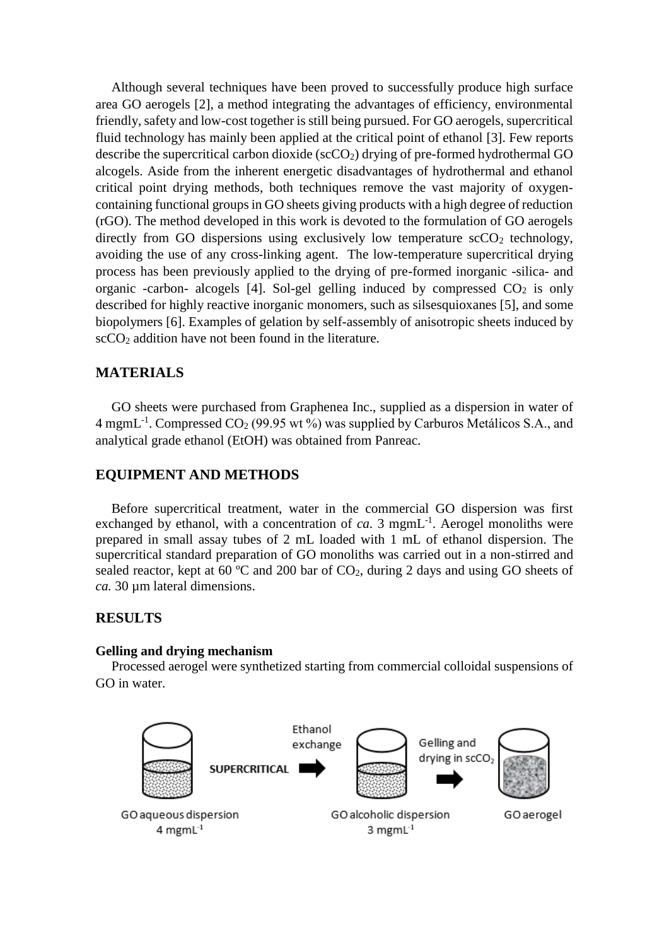Although several techniques have been proved to successfully produce high surface area GO aerogels [2], a method integrating the advantages of efficiency, environmental friendly, safety and low-cost together is still being pursued. For GO aerogels, supercritical fluid technology has mainly been applied at the critical point of ethanol [3]. Few reports describe the supercritical carbon dioxide ( $\sec O_2$ ) drying of pre-formed hydrothermal GO alcogels. Aside from the inherent energetic disadvantages of hydrothermal and ethanol critical point drying methods, both techniques remove the vast majority of oxygencontaining functional groups in GO sheets giving products with a high degree of reduction (rGO). The method developed in this work is devoted to the formulation of GO aerogels directly from GO dispersions using exclusively low temperature  $\sec O_2$  technology, avoiding the use of any cross-linking agent. The low-temperature supercritical drying process has been previously applied to the drying of pre-formed inorganic -silica- and organic -carbon- alcogels [4]. Sol-gel gelling induced by compressed  $CO<sub>2</sub>$  is only described for highly reactive inorganic monomers, such as silsesquioxanes [5], and some biopolymers [6]. Examples of gelation by self-assembly of anisotropic sheets induced by  $\sec{CO_2}$  addition have not been found in the literature.

# **MATERIALS**

GO sheets were purchased from Graphenea Inc., supplied as a dispersion in water of 4 mgmL<sup>-1</sup>. Compressed CO<sub>2</sub> (99.95 wt %) was supplied by Carburos Metálicos S.A., and analytical grade ethanol (EtOH) was obtained from Panreac.

## **EQUIPMENT AND METHODS**

Before supercritical treatment, water in the commercial GO dispersion was first exchanged by ethanol, with a concentration of  $ca$ . 3 mgmL<sup>-1</sup>. Aerogel monoliths were prepared in small assay tubes of 2 mL loaded with 1 mL of ethanol dispersion. The supercritical standard preparation of GO monoliths was carried out in a non-stirred and sealed reactor, kept at 60 °C and 200 bar of CO<sub>2</sub>, during 2 days and using GO sheets of *ca.* 30 µm lateral dimensions.

## **RESULTS**

#### **Gelling and drying mechanism**

Processed aerogel were synthetized starting from commercial colloidal suspensions of GO in water.

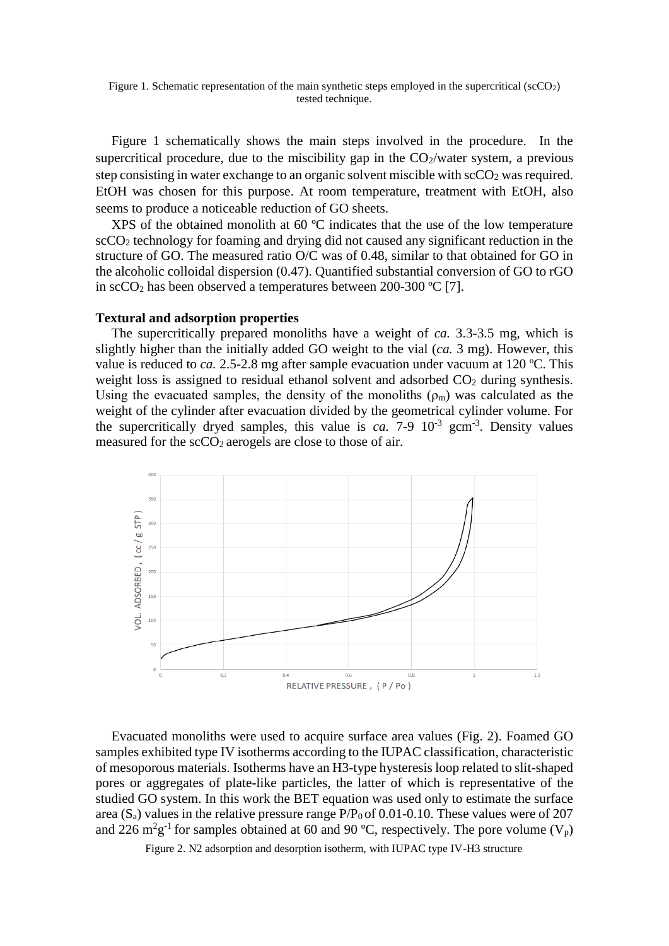Figure 1. Schematic representation of the main synthetic steps employed in the supercritical (scCO<sub>2</sub>) tested technique.

Figure 1 schematically shows the main steps involved in the procedure. In the supercritical procedure, due to the miscibility gap in the  $CO<sub>2</sub>/water$  system, a previous step consisting in water exchange to an organic solvent miscible with  $\sec O_2$  was required. EtOH was chosen for this purpose. At room temperature, treatment with EtOH, also seems to produce a noticeable reduction of GO sheets.

XPS of the obtained monolith at 60 ºC indicates that the use of the low temperature scCO<sup>2</sup> technology for foaming and drying did not caused any significant reduction in the structure of GO. The measured ratio O/C was of 0.48, similar to that obtained for GO in the alcoholic colloidal dispersion (0.47). Quantified substantial conversion of GO to rGO in scCO<sub>2</sub> has been observed a temperatures between 200-300 °C [7].

#### **Textural and adsorption properties**

The supercritically prepared monoliths have a weight of *ca.* 3.3-3.5 mg, which is slightly higher than the initially added GO weight to the vial (*ca.* 3 mg). However, this value is reduced to *ca.* 2.5-2.8 mg after sample evacuation under vacuum at 120 ºC. This weight loss is assigned to residual ethanol solvent and adsorbed  $CO<sub>2</sub>$  during synthesis. Using the evacuated samples, the density of the monoliths  $(\rho_m)$  was calculated as the weight of the cylinder after evacuation divided by the geometrical cylinder volume. For the supercritically dryed samples, this value is  $ca$ . 7-9  $10^{-3}$  gcm<sup>-3</sup>. Density values measured for the  $\sec O_2$  aerogels are close to those of air.



Evacuated monoliths were used to acquire surface area values (Fig. 2). Foamed GO samples exhibited type IV isotherms according to the IUPAC classification, characteristic of mesoporous materials. Isotherms have an H3-type hysteresis loop related to slit-shaped pores or aggregates of plate-like particles, the latter of which is representative of the studied GO system. In this work the BET equation was used only to estimate the surface area ( $S_a$ ) values in the relative pressure range  $P/P_0$  of 0.01-0.10. These values were of 207 and 226 m<sup>2</sup>g<sup>-1</sup> for samples obtained at 60 and 90 °C, respectively. The pore volume ( $V_p$ )

Figure 2. N2 adsorption and desorption isotherm, with IUPAC type IV-H3 structure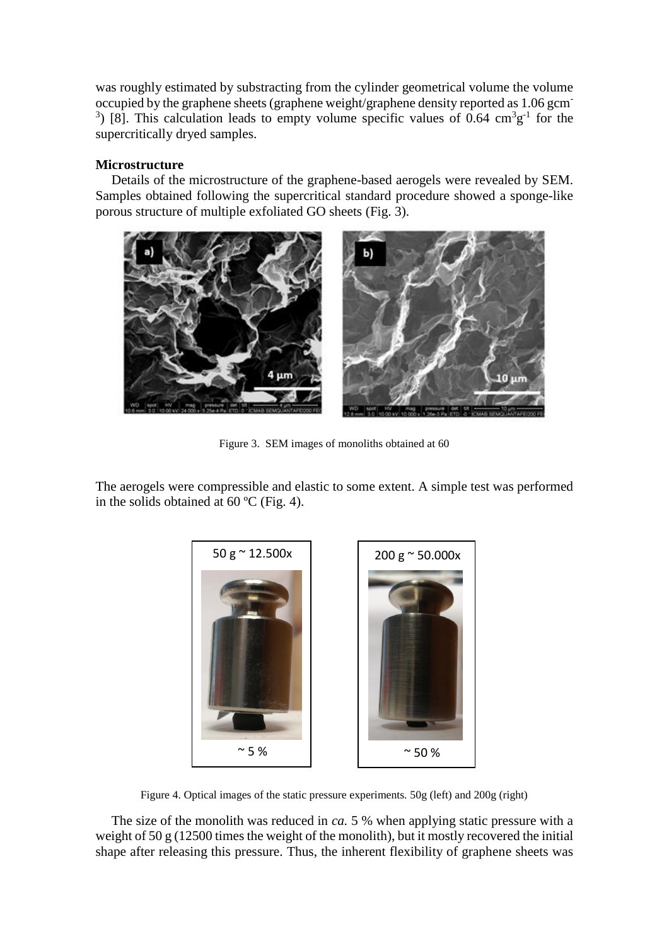was roughly estimated by substracting from the cylinder geometrical volume the volume occupied by the graphene sheets (graphene weight/graphene density reported as 1.06 gcm-<sup>3</sup>) [8]. This calculation leads to empty volume specific values of 0.64  $\text{cm}^3\text{g}^{-1}$  for the supercritically dryed samples.

## **Microstructure**

Details of the microstructure of the graphene-based aerogels were revealed by SEM. Samples obtained following the supercritical standard procedure showed a sponge-like porous structure of multiple exfoliated GO sheets (Fig. 3).



Figure 3. SEM images of monoliths obtained at 60

The aerogels were compressible and elastic to some extent. A simple test was performed in the solids obtained at 60 ºC (Fig. 4).



Figure 4. Optical images of the static pressure experiments. 50g (left) and 200g (right)

The size of the monolith was reduced in *ca.* 5 % when applying static pressure with a weight of  $50 \text{ g}$  (12500 times the weight of the monolith), but it mostly recovered the initial shape after releasing this pressure. Thus, the inherent flexibility of graphene sheets was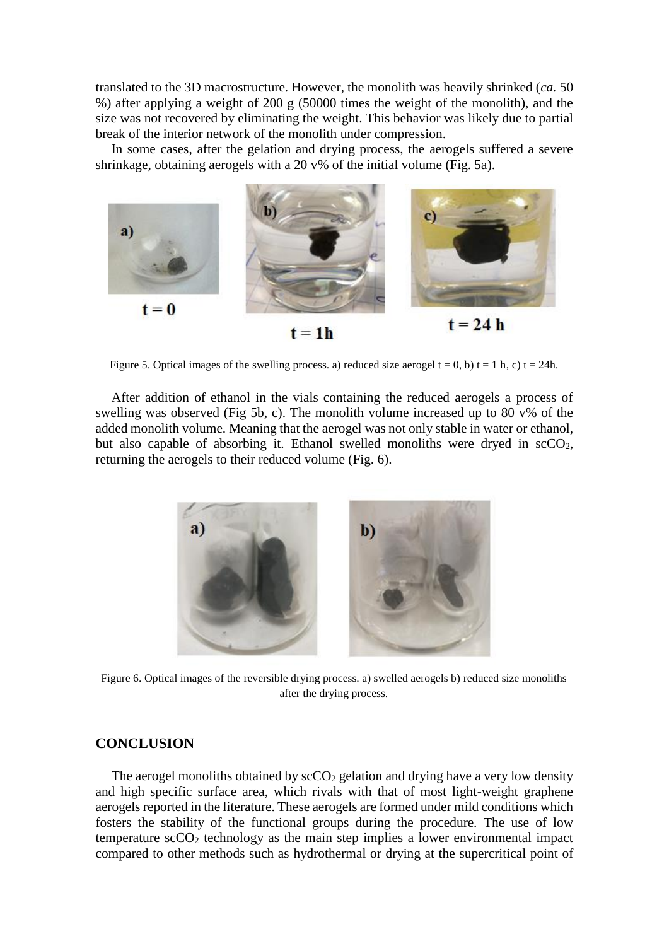translated to the 3D macrostructure. However, the monolith was heavily shrinked (*ca.* 50 %) after applying a weight of 200 g (50000 times the weight of the monolith), and the size was not recovered by eliminating the weight. This behavior was likely due to partial break of the interior network of the monolith under compression.

In some cases, after the gelation and drying process, the aerogels suffered a severe shrinkage, obtaining aerogels with a 20 v% of the initial volume (Fig. 5a).



Figure 5. Optical images of the swelling process. a) reduced size aerogel  $t = 0$ , b)  $t = 1$  h, c)  $t = 24$ h.

After addition of ethanol in the vials containing the reduced aerogels a process of swelling was observed (Fig 5b, c). The monolith volume increased up to 80  $v\%$  of the added monolith volume. Meaning that the aerogel was not only stable in water or ethanol, but also capable of absorbing it. Ethanol swelled monoliths were dryed in  $\text{scCO}_2$ , returning the aerogels to their reduced volume (Fig. 6).



Figure 6. Optical images of the reversible drying process. a) swelled aerogels b) reduced size monoliths after the drying process.

### **CONCLUSION**

The aerogel monoliths obtained by  $\sec O_2$  gelation and drying have a very low density and high specific surface area, which rivals with that of most light-weight graphene aerogels reported in the literature. These aerogels are formed under mild conditions which fosters the stability of the functional groups during the procedure. The use of low temperature  $\sec O_2$  technology as the main step implies a lower environmental impact compared to other methods such as hydrothermal or drying at the supercritical point of